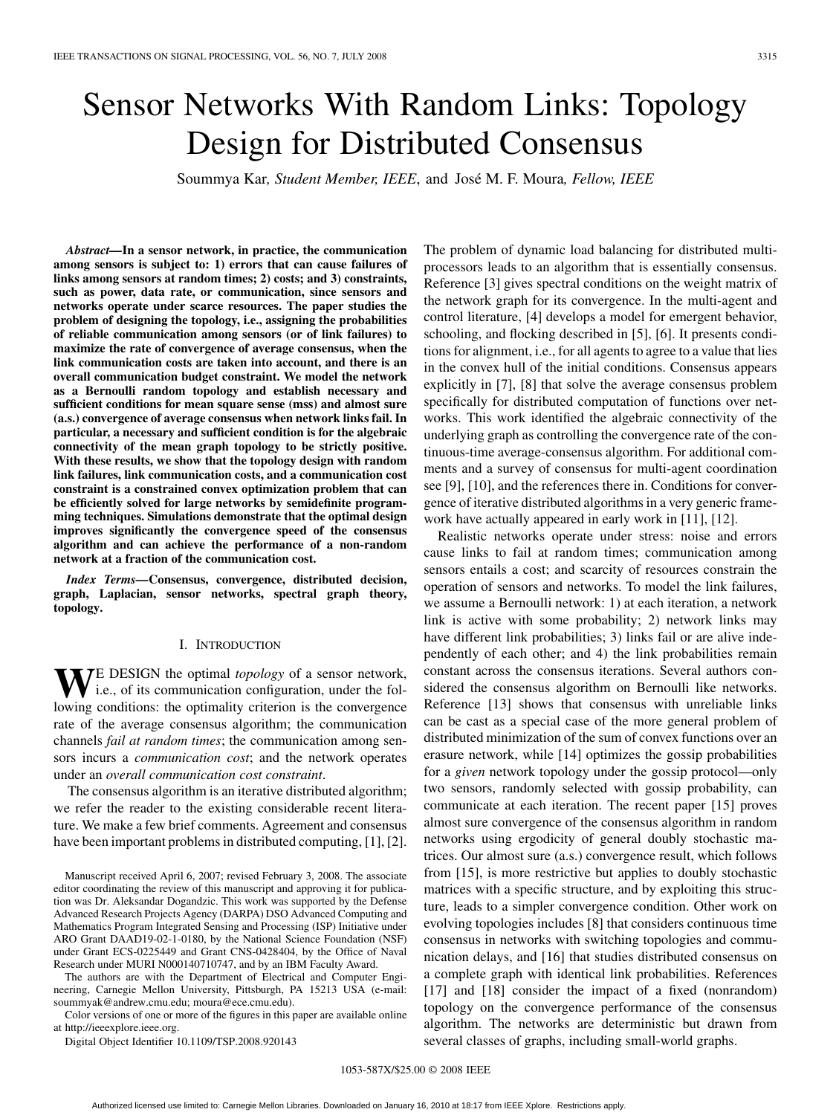# Sensor Networks With Random Links: Topology Design for Distributed Consensus

Soummya Kar*, Student Member, IEEE*, and José M. F. Moura*, Fellow, IEEE*

*Abstract—***In a sensor network, in practice, the communication among sensors is subject to: 1) errors that can cause failures of links among sensors at random times; 2) costs; and 3) constraints, such as power, data rate, or communication, since sensors and networks operate under scarce resources. The paper studies the problem of designing the topology, i.e., assigning the probabilities of reliable communication among sensors (or of link failures) to maximize the rate of convergence of average consensus, when the link communication costs are taken into account, and there is an overall communication budget constraint. We model the network as a Bernoulli random topology and establish necessary and sufficient conditions for mean square sense (mss) and almost sure (a.s.) convergence of average consensus when network links fail. In particular, a necessary and sufficient condition is for the algebraic connectivity of the mean graph topology to be strictly positive. With these results, we show that the topology design with random link failures, link communication costs, and a communication cost constraint is a constrained convex optimization problem that can be efficiently solved for large networks by semidefinite programming techniques. Simulations demonstrate that the optimal design improves significantly the convergence speed of the consensus algorithm and can achieve the performance of a non-random network at a fraction of the communication cost.**

*Index Terms—***Consensus, convergence, distributed decision, graph, Laplacian, sensor networks, spectral graph theory, topology.**

#### I. INTRODUCTION

WE DESIGN the optimal *topology* of a sensor network, i.e., of its communication configuration, under the following conditions: the optimality criterion is the convergence rate of the average consensus algorithm; the communication channels *fail at random times*; the communication among sensors incurs a *communication cost*; and the network operates under an *overall communication cost constraint*.

The consensus algorithm is an iterative distributed algorithm; we refer the reader to the existing considerable recent literature. We make a few brief comments. Agreement and consensus have been important problems in distributed computing, [1], [2].

The authors are with the Department of Electrical and Computer Engineering, Carnegie Mellon University, Pittsburgh, PA 15213 USA (e-mail: soummyak@andrew.cmu.edu; moura@ece.cmu.edu).

Color versions of one or more of the figures in this paper are available online at http://ieeexplore.ieee.org.

Digital Object Identifier 10.1109/TSP.2008.920143

The problem of dynamic load balancing for distributed multiprocessors leads to an algorithm that is essentially consensus. Reference [3] gives spectral conditions on the weight matrix of the network graph for its convergence. In the multi-agent and control literature, [4] develops a model for emergent behavior, schooling, and flocking described in [5], [6]. It presents conditions for alignment, i.e., for all agents to agree to a value that lies in the convex hull of the initial conditions. Consensus appears explicitly in [7], [8] that solve the average consensus problem specifically for distributed computation of functions over networks. This work identified the algebraic connectivity of the underlying graph as controlling the convergence rate of the continuous-time average-consensus algorithm. For additional comments and a survey of consensus for multi-agent coordination see [9], [10], and the references there in. Conditions for convergence of iterative distributed algorithms in a very generic framework have actually appeared in early work in [11], [12].

Realistic networks operate under stress: noise and errors cause links to fail at random times; communication among sensors entails a cost; and scarcity of resources constrain the operation of sensors and networks. To model the link failures, we assume a Bernoulli network: 1) at each iteration, a network link is active with some probability; 2) network links may have different link probabilities; 3) links fail or are alive independently of each other; and 4) the link probabilities remain constant across the consensus iterations. Several authors considered the consensus algorithm on Bernoulli like networks. Reference [13] shows that consensus with unreliable links can be cast as a special case of the more general problem of distributed minimization of the sum of convex functions over an erasure network, while [14] optimizes the gossip probabilities for a *given* network topology under the gossip protocol—only two sensors, randomly selected with gossip probability, can communicate at each iteration. The recent paper [15] proves almost sure convergence of the consensus algorithm in random networks using ergodicity of general doubly stochastic matrices. Our almost sure (a.s.) convergence result, which follows from [15], is more restrictive but applies to doubly stochastic matrices with a specific structure, and by exploiting this structure, leads to a simpler convergence condition. Other work on evolving topologies includes [8] that considers continuous time consensus in networks with switching topologies and communication delays, and [16] that studies distributed consensus on a complete graph with identical link probabilities. References [17] and [18] consider the impact of a fixed (nonrandom) topology on the convergence performance of the consensus algorithm. The networks are deterministic but drawn from several classes of graphs, including small-world graphs.

Manuscript received April 6, 2007; revised February 3, 2008. The associate editor coordinating the review of this manuscript and approving it for publication was Dr. Aleksandar Dogandzic. This work was supported by the Defense Advanced Research Projects Agency (DARPA) DSO Advanced Computing and Mathematics Program Integrated Sensing and Processing (ISP) Initiative under ARO Grant DAAD19-02-1-0180, by the National Science Foundation (NSF) under Grant ECS-0225449 and Grant CNS-0428404, by the Office of Naval Research under MURI N000140710747, and by an IBM Faculty Award.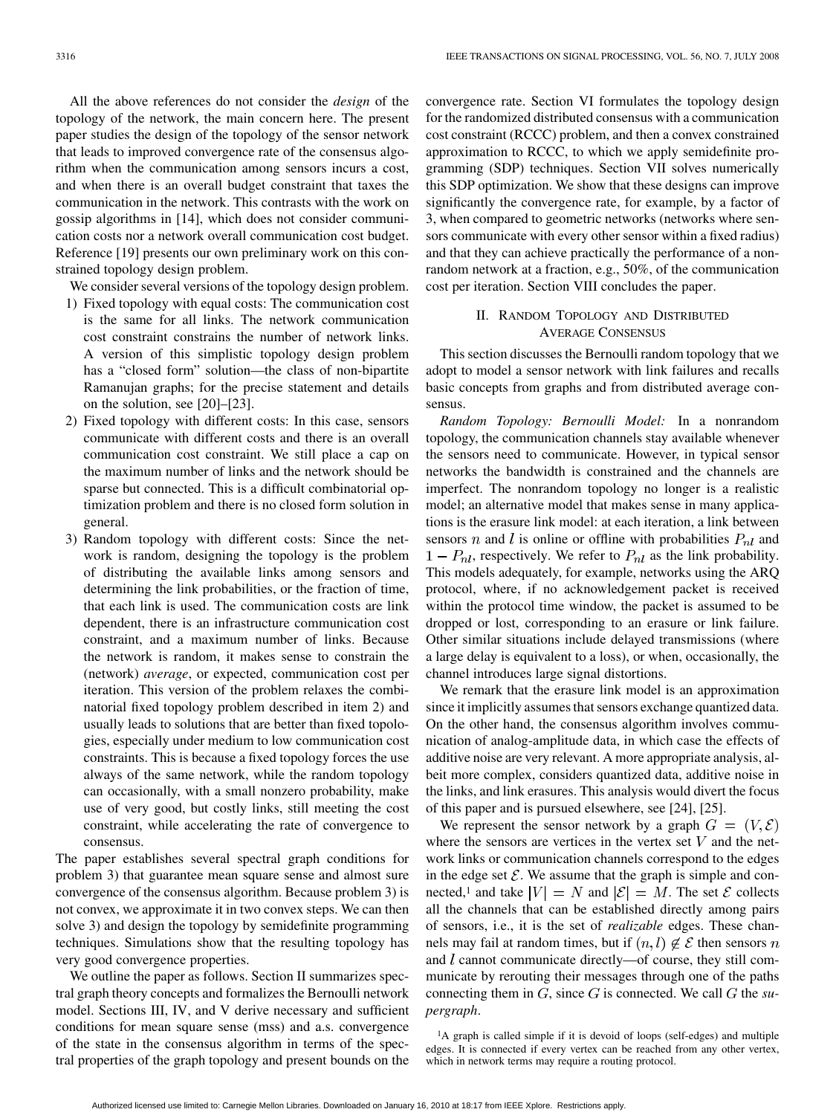All the above references do not consider the *design* of the topology of the network, the main concern here. The present paper studies the design of the topology of the sensor network that leads to improved convergence rate of the consensus algorithm when the communication among sensors incurs a cost, and when there is an overall budget constraint that taxes the communication in the network. This contrasts with the work on gossip algorithms in [14], which does not consider communication costs nor a network overall communication cost budget. Reference [19] presents our own preliminary work on this constrained topology design problem.

We consider several versions of the topology design problem.

- 1) Fixed topology with equal costs: The communication cost is the same for all links. The network communication cost constraint constrains the number of network links. A version of this simplistic topology design problem has a "closed form" solution—the class of non-bipartite Ramanujan graphs; for the precise statement and details on the solution, see [20]–[23].
- 2) Fixed topology with different costs: In this case, sensors communicate with different costs and there is an overall communication cost constraint. We still place a cap on the maximum number of links and the network should be sparse but connected. This is a difficult combinatorial optimization problem and there is no closed form solution in general.
- 3) Random topology with different costs: Since the network is random, designing the topology is the problem of distributing the available links among sensors and determining the link probabilities, or the fraction of time, that each link is used. The communication costs are link dependent, there is an infrastructure communication cost constraint, and a maximum number of links. Because the network is random, it makes sense to constrain the (network) *average*, or expected, communication cost per iteration. This version of the problem relaxes the combinatorial fixed topology problem described in item 2) and usually leads to solutions that are better than fixed topologies, especially under medium to low communication cost constraints. This is because a fixed topology forces the use always of the same network, while the random topology can occasionally, with a small nonzero probability, make use of very good, but costly links, still meeting the cost constraint, while accelerating the rate of convergence to consensus.

The paper establishes several spectral graph conditions for problem 3) that guarantee mean square sense and almost sure convergence of the consensus algorithm. Because problem 3) is not convex, we approximate it in two convex steps. We can then solve 3) and design the topology by semidefinite programming techniques. Simulations show that the resulting topology has very good convergence properties.

We outline the paper as follows. Section II summarizes spectral graph theory concepts and formalizes the Bernoulli network model. Sections III, IV, and V derive necessary and sufficient conditions for mean square sense (mss) and a.s. convergence of the state in the consensus algorithm in terms of the spectral properties of the graph topology and present bounds on the convergence rate. Section VI formulates the topology design for the randomized distributed consensus with a communication cost constraint (RCCC) problem, and then a convex constrained approximation to RCCC, to which we apply semidefinite programming (SDP) techniques. Section VII solves numerically this SDP optimization. We show that these designs can improve significantly the convergence rate, for example, by a factor of 3, when compared to geometric networks (networks where sensors communicate with every other sensor within a fixed radius) and that they can achieve practically the performance of a nonrandom network at a fraction, e.g., 50%, of the communication cost per iteration. Section VIII concludes the paper.

# II. RANDOM TOPOLOGY AND DISTRIBUTED AVERAGE CONSENSUS

This section discusses the Bernoulli random topology that we adopt to model a sensor network with link failures and recalls basic concepts from graphs and from distributed average consensus.

*Random Topology: Bernoulli Model:* In a nonrandom topology, the communication channels stay available whenever the sensors need to communicate. However, in typical sensor networks the bandwidth is constrained and the channels are imperfect. The nonrandom topology no longer is a realistic model; an alternative model that makes sense in many applications is the erasure link model: at each iteration, a link between sensors n and l is online or offline with probabilities  $P_{nl}$  and  $1 - P_{nl}$ , respectively. We refer to  $P_{nl}$  as the link probability. This models adequately, for example, networks using the ARQ protocol, where, if no acknowledgement packet is received within the protocol time window, the packet is assumed to be dropped or lost, corresponding to an erasure or link failure. Other similar situations include delayed transmissions (where a large delay is equivalent to a loss), or when, occasionally, the channel introduces large signal distortions.

We remark that the erasure link model is an approximation since it implicitly assumes that sensors exchange quantized data. On the other hand, the consensus algorithm involves communication of analog-amplitude data, in which case the effects of additive noise are very relevant. A more appropriate analysis, albeit more complex, considers quantized data, additive noise in the links, and link erasures. This analysis would divert the focus of this paper and is pursued elsewhere, see [24], [25].

We represent the sensor network by a graph  $G = (V, \mathcal{E})$ where the sensors are vertices in the vertex set  $V$  and the network links or communication channels correspond to the edges in the edge set  $\mathcal{E}$ . We assume that the graph is simple and connected,<sup>1</sup> and take  $|V| = N$  and  $|\mathcal{E}| = M$ . The set  $\mathcal E$  collects all the channels that can be established directly among pairs of sensors, i.e., it is the set of *realizable* edges. These channels may fail at random times, but if  $(n, l) \notin \mathcal{E}$  then sensors n and  $l$  cannot communicate directly—of course, they still communicate by rerouting their messages through one of the paths connecting them in  $G$ , since  $G$  is connected. We call  $G$  the *supergraph*.

<sup>&</sup>lt;sup>1</sup>A graph is called simple if it is devoid of loops (self-edges) and multiple edges. It is connected if every vertex can be reached from any other vertex, which in network terms may require a routing protocol.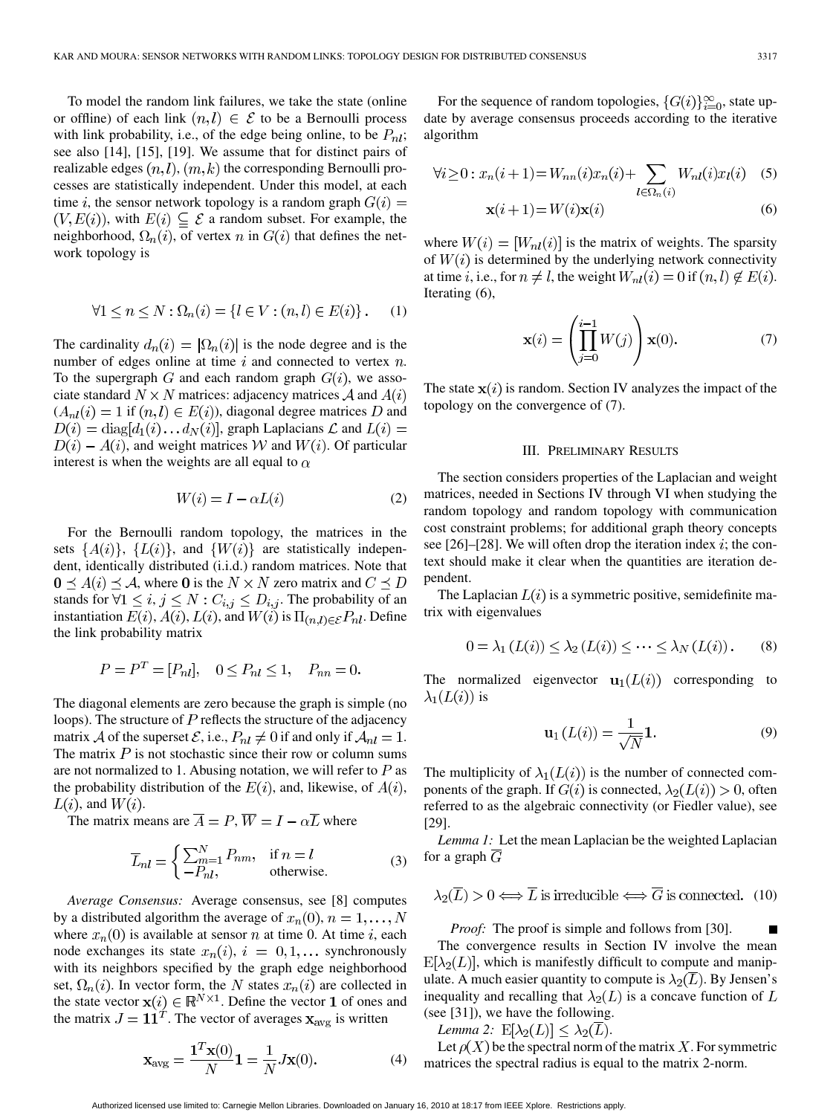To model the random link failures, we take the state (online or offline) of each link  $(n, l) \in \mathcal{E}$  to be a Bernoulli process with link probability, i.e., of the edge being online, to be  $P_{nl}$ ; see also [14], [15], [19]. We assume that for distinct pairs of realizable edges  $(n, l), (m, k)$  the corresponding Bernoulli processes are statistically independent. Under this model, at each time i, the sensor network topology is a random graph  $G(i)$  =  $(V, E(i))$ , with  $E(i) \subseteq \mathcal{E}$  a random subset. For example, the neighborhood,  $\Omega_n(i)$ , of vertex n in  $G(i)$  that defines the network topology is

$$
\forall 1 \le n \le N : \Omega_n(i) = \{l \in V : (n, l) \in E(i)\}.
$$
 (1)

The cardinality  $d_n(i) = |\Omega_n(i)|$  is the node degree and is the number of edges online at time  $i$  and connected to vertex  $n$ . To the supergraph G and each random graph  $G(i)$ , we associate standard  $N \times N$  matrices: adjacency matrices A and  $A(i)$  $(A_{nl}(i) = 1$  if  $(n, l) \in E(i)$ , diagonal degree matrices D and  $D(i) = \text{diag}[d_1(i) \dots d_N(i)]$ , graph Laplacians  $\mathcal L$  and  $L(i) =$  $D(i) - A(i)$ , and weight matrices W and  $W(i)$ . Of particular interest is when the weights are all equal to  $\alpha$ 

$$
W(i) = I - \alpha L(i) \tag{2}
$$

For the Bernoulli random topology, the matrices in the sets  $\{A(i)\}, \{L(i)\}\$ , and  $\{W(i)\}\$ are statistically independent, identically distributed (i.i.d.) random matrices. Note that  $0 \leq A(i) \leq A$ , where 0 is the  $N \times N$  zero matrix and  $C \leq D$ stands for  $\forall 1 \leq i, j \leq N : C_{i,j} \leq D_{i,j}$ . The probability of an instantiation  $E(i)$ ,  $A(i)$ ,  $L(i)$ , and  $W(i)$  is  $\Pi_{(n,l)\in\mathcal{E}}P_{nl}$ . Define the link probability matrix

$$
P = PT = [Pnl], \quad 0 \le Pnl \le 1, \quad Pnn = 0.
$$

The diagonal elements are zero because the graph is simple (no loops). The structure of  $P$  reflects the structure of the adjacency matrix A of the superset  $\mathcal{E}$ , i.e.,  $P_{nl} \neq 0$  if and only if  $\mathcal{A}_{nl} = 1$ . The matrix  $P$  is not stochastic since their row or column sums are not normalized to 1. Abusing notation, we will refer to  $P$  as the probability distribution of the  $E(i)$ , and, likewise, of  $A(i)$ ,  $L(i)$ , and  $W(i)$ .

The matrix means are  $\overline{A} = P$ ,  $\overline{W} = I - \alpha \overline{L}$  where

$$
\overline{L}_{nl} = \begin{cases} \sum_{m=1}^{N} P_{nm}, & \text{if } n = l \\ -P_{nl}, & \text{otherwise.} \end{cases}
$$
(3)

*Average Consensus:* Average consensus, see [8] computes by a distributed algorithm the average of  $x_n(0)$ ,  $n = 1, \ldots, N$ where  $x_n(0)$  is available at sensor n at time 0. At time i, each node exchanges its state  $x_n(i)$ ,  $i = 0, 1, \dots$  synchronously with its neighbors specified by the graph edge neighborhood set,  $\Omega_n(i)$ . In vector form, the N states  $x_n(i)$  are collected in the state vector  $\mathbf{x}(i) \in \mathbb{R}^{N \times 1}$ . Define the vector 1 of ones and the matrix  $J = 11^T$ . The vector of averages  $\mathbf{x}_{\text{avg}}$  is written

$$
\mathbf{x}_{\text{avg}} = \frac{\mathbf{1}^T \mathbf{x}(0)}{N} \mathbf{1} = \frac{1}{N} J \mathbf{x}(0). \tag{4}
$$

For the sequence of random topologies,  $\{G(i)\}_{i=0}^{\infty}$ , state update by average consensus proceeds according to the iterative algorithm

$$
\forall i \ge 0 : x_n(i+1) = W_{nn}(i)x_n(i) + \sum_{l \in \Omega_n(i)} W_{nl}(i)x_l(i) \quad (5)
$$

$$
\mathbf{x}(i+1) = W(i)\mathbf{x}(i)
$$
\n(6)

where  $W(i) = [W_{nl}(i)]$  is the matrix of weights. The sparsity of  $W(i)$  is determined by the underlying network connectivity at time i, i.e., for  $n \neq l$ , the weight  $W_{nl}(i) = 0$  if  $(n, l) \notin E(i)$ . Iterating (6),

$$
\mathbf{x}(i) = \left(\prod_{j=0}^{i-1} W(j)\right) \mathbf{x}(0). \tag{7}
$$

The state  $x(i)$  is random. Section IV analyzes the impact of the topology on the convergence of (7).

### III. PRELIMINARY RESULTS

The section considers properties of the Laplacian and weight matrices, needed in Sections IV through VI when studying the random topology and random topology with communication cost constraint problems; for additional graph theory concepts see [26]–[28]. We will often drop the iteration index  $i$ ; the context should make it clear when the quantities are iteration dependent.

The Laplacian  $L(i)$  is a symmetric positive, semidefinite matrix with eigenvalues

$$
0 = \lambda_1(L(i)) \le \lambda_2(L(i)) \le \dots \le \lambda_N(L(i)).
$$
 (8)

The normalized eigenvector  $\mathbf{u}_1(L(i))$  corresponding to  $\lambda_1(L(i))$  is

$$
\mathbf{u}_{1}\left(L(i)\right) = \frac{1}{\sqrt{N}}\mathbf{1}.\tag{9}
$$

The multiplicity of  $\lambda_1(L(i))$  is the number of connected components of the graph. If  $G(i)$  is connected,  $\lambda_2(L(i)) > 0$ , often referred to as the algebraic connectivity (or Fiedler value), see [29].

*Lemma 1:* Let the mean Laplacian be the weighted Laplacian for a graph  $\overline{G}$ 

$$
\lambda_2(\overline{L}) > 0 \Longleftrightarrow \overline{L} \text{ is irreducible} \Longleftrightarrow \overline{G} \text{ is connected.} \quad (10)
$$

*Proof:* The proof is simple and follows from [30]. The convergence results in Section IV involve the mean  $E[\lambda_2(L)]$ , which is manifestly difficult to compute and manipulate. A much easier quantity to compute is  $\lambda_2(L)$ . By Jensen's inequality and recalling that  $\lambda_2(L)$  is a concave function of L (see [31]), we have the following.

*Lemma 2:*  $E[\lambda_2(L)] \leq \lambda_2(L)$ .

Let  $\rho(X)$  be the spectral norm of the matrix X. For symmetric matrices the spectral radius is equal to the matrix 2-norm.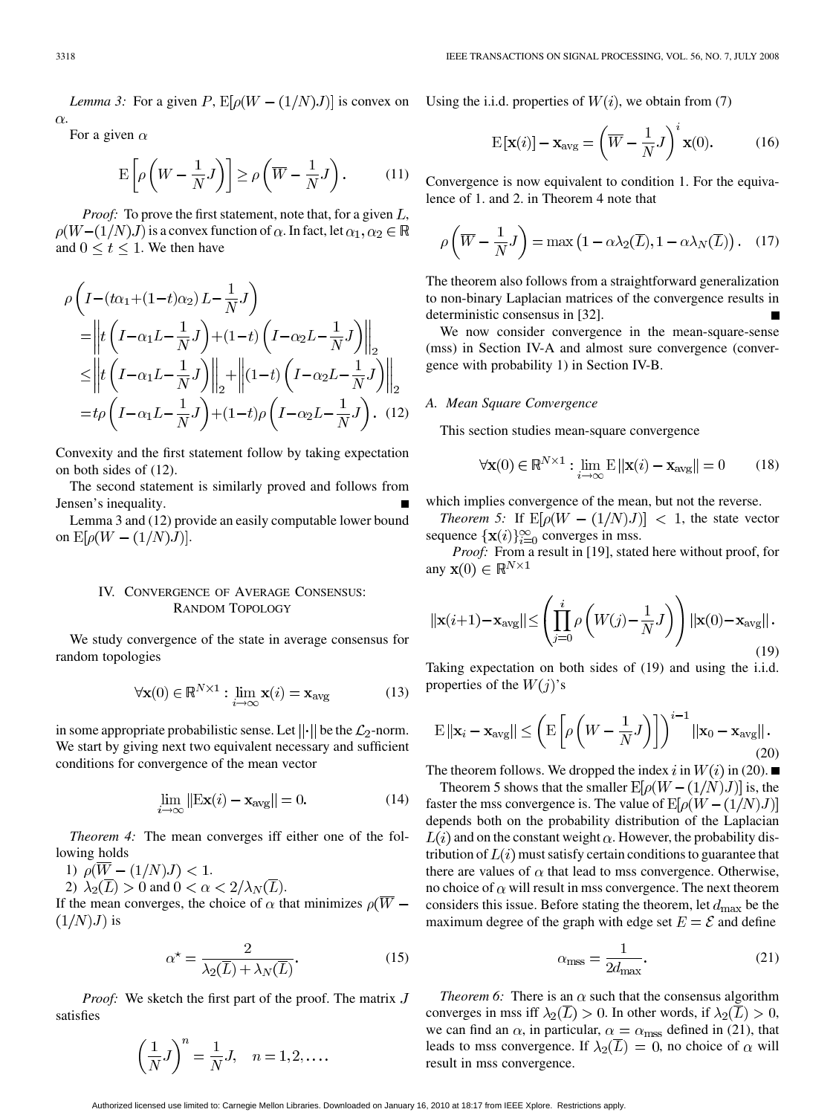*Lemma 3:* For a given  $P$ ,  $E[\rho(W - (1/N)J)]$  is convex on  $\alpha$ .

For a given  $\alpha$ 

$$
\mathcal{E}\left[\rho\left(W - \frac{1}{N}J\right)\right] \ge \rho\left(\overline{W} - \frac{1}{N}J\right). \tag{11}
$$

*Proof:* To prove the first statement, note that, for a given  $L$ ,  $\rho(W-(1/N)J)$  is a convex function of  $\alpha$ . In fact, let  $\alpha_1, \alpha_2 \in \mathbb{R}$ and  $0 \le t \le 1$ . We then have

$$
\rho \left( I - (t\alpha_1 + (1-t)\alpha_2) L - \frac{1}{N} J \right)
$$
\n
$$
= \left\| t \left( I - \alpha_1 L - \frac{1}{N} J \right) + (1-t) \left( I - \alpha_2 L - \frac{1}{N} J \right) \right\|_2
$$
\n
$$
\leq \left\| t \left( I - \alpha_1 L - \frac{1}{N} J \right) \right\|_2 + \left\| (1-t) \left( I - \alpha_2 L - \frac{1}{N} J \right) \right\|_2
$$
\n
$$
= t\rho \left( I - \alpha_1 L - \frac{1}{N} J \right) + (1-t)\rho \left( I - \alpha_2 L - \frac{1}{N} J \right). \quad (12)
$$

Convexity and the first statement follow by taking expectation on both sides of (12).

The second statement is similarly proved and follows from Jensen's inequality.

Lemma 3 and (12) provide an easily computable lower bound on  $E[\rho(W - (1/N)J)].$ 

# IV. CONVERGENCE OF AVERAGE CONSENSUS: RANDOM TOPOLOGY

We study convergence of the state in average consensus for random topologies

$$
\forall \mathbf{x}(0) \in \mathbb{R}^{N \times 1} : \lim_{i \to \infty} \mathbf{x}(i) = \mathbf{x}_{\text{avg}} \tag{13}
$$

in some appropriate probabilistic sense. Let  $\left\| \cdot \right\|$  be the  $\mathcal{L}_2$ -norm. We start by giving next two equivalent necessary and sufficient conditions for convergence of the mean vector

$$
\lim_{i \to \infty} \|\mathbf{Ex}(i) - \mathbf{x}_{\text{avg}}\| = 0. \tag{14}
$$

*Theorem 4:* The mean converges iff either one of the following holds

1)  $\rho(\overline{W} - (1/N)J) < 1.$ 

2)  $\lambda_2(\overline{L}) > 0$  and  $0 < \alpha < 2/\lambda_N(\overline{L})$ .

If the mean converges, the choice of  $\alpha$  that minimizes  $\rho(\overline{W} (1/N)J$  is

$$
\alpha^* = \frac{2}{\lambda_2(\overline{L}) + \lambda_N(\overline{L})}.
$$
\n(15)

*Proof:* We sketch the first part of the proof. The matrix J satisfies

$$
\left(\frac{1}{N}J\right)^n = \frac{1}{N}J, \quad n = 1, 2, \dots
$$

Using the i.i.d. properties of  $W(i)$ , we obtain from (7)

$$
\mathbf{E}\left[\mathbf{x}(i)\right] - \mathbf{x}_{\text{avg}} = \left(\overline{W} - \frac{1}{N}J\right)^{i}\mathbf{x}(0). \tag{16}
$$

Convergence is now equivalent to condition 1. For the equivalence of 1. and 2. in Theorem 4 note that

$$
\rho\left(\overline{W} - \frac{1}{N}J\right) = \max\left(1 - \alpha\lambda_2(\overline{L}), 1 - \alpha\lambda_N(\overline{L})\right). \quad (17)
$$

The theorem also follows from a straightforward generalization to non-binary Laplacian matrices of the convergence results in deterministic consensus in [32].

We now consider convergence in the mean-square-sense (mss) in Section IV-A and almost sure convergence (convergence with probability 1) in Section IV-B.

## *A. Mean Square Convergence*

This section studies mean-square convergence

$$
\forall \mathbf{x}(0) \in \mathbb{R}^{N \times 1} : \lim_{i \to \infty} E \left\| \mathbf{x}(i) - \mathbf{x}_{\text{avg}} \right\| = 0 \tag{18}
$$

which implies convergence of the mean, but not the reverse.

*Theorem 5:* If  $E[\rho(W - (1/N)J)] < 1$ , the state vector sequence  $\{x(i)\}_{i=0}^{\infty}$  converges in mss.

*Proof:* From a result in [19], stated here without proof, for any  $\mathbf{x}(0) \in \mathbb{R}^{N \times 1}$ 

$$
\|\mathbf{x}(i+1) - \mathbf{x}_{\text{avg}}\| \le \left(\prod_{j=0}^{i} \rho\left(W(j) - \frac{1}{N}J\right)\right) \|\mathbf{x}(0) - \mathbf{x}_{\text{avg}}\|.
$$
\n(19)

Taking expectation on both sides of (19) and using the i.i.d. properties of the  $W(j)$ 's

$$
\mathbf{E} \left\| \mathbf{x}_i - \mathbf{x}_{\text{avg}} \right\| \le \left( \mathbf{E} \left[ \rho \left( W - \frac{1}{N} J \right) \right] \right)^{i-1} \left\| \mathbf{x}_0 - \mathbf{x}_{\text{avg}} \right\|.
$$
\n(20)

The theorem follows. We dropped the index i in  $W(i)$  in (20).

Theorem 5 shows that the smaller  $E[\rho(W-(1/N)J)]$  is, the faster the mss convergence is. The value of  $E[\rho(W - (1/N)J)]$ depends both on the probability distribution of the Laplacian  $L(i)$  and on the constant weight  $\alpha$ . However, the probability distribution of  $L(i)$  must satisfy certain conditions to guarantee that there are values of  $\alpha$  that lead to mss convergence. Otherwise, no choice of  $\alpha$  will result in mss convergence. The next theorem considers this issue. Before stating the theorem, let  $d_{\text{max}}$  be the maximum degree of the graph with edge set  $E = \mathcal{E}$  and define

$$
\alpha_{\rm{mss}} = \frac{1}{2d_{\rm{max}}}.\tag{21}
$$

*Theorem 6:* There is an  $\alpha$  such that the consensus algorithm converges in mss iff  $\lambda_2(\overline{L}) > 0$ . In other words, if  $\lambda_2(\overline{L}) > 0$ , we can find an  $\alpha$ , in particular,  $\alpha = \alpha_{\text{mss}}$  defined in (21), that leads to mss convergence. If  $\lambda_2(\overline{L}) = 0$ , no choice of  $\alpha$  will result in mss convergence.

Authorized licensed use limited to: Carnegie Mellon Libraries. Downloaded on January 16, 2010 at 18:17 from IEEE Xplore. Restrictions apply.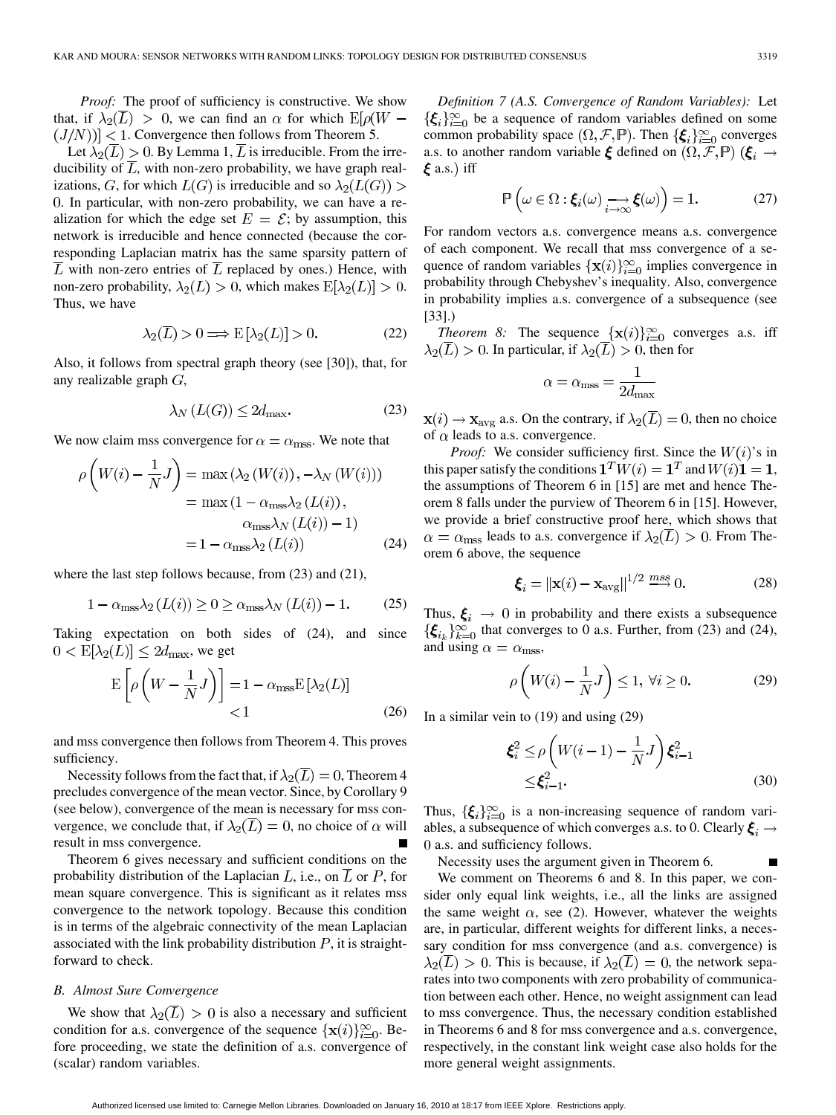*Proof:* The proof of sufficiency is constructive. We show that, if  $\lambda_2(\overline{L}) > 0$ , we can find an  $\alpha$  for which  $E[\rho(W (J/N)$ ] < 1. Convergence then follows from Theorem 5.

Let  $\lambda_2(L) > 0$ . By Lemma 1, L is irreducible. From the irreducibility of  $\overline{L}$ , with non-zero probability, we have graph realizations, G, for which  $L(G)$  is irreducible and so  $\lambda_2(L(G))$ . In particular, with non-zero probability, we can have a realization for which the edge set  $E = \mathcal{E}$ ; by assumption, this network is irreducible and hence connected (because the corresponding Laplacian matrix has the same sparsity pattern of  $L$  with non-zero entries of  $L$  replaced by ones.) Hence, with non-zero probability,  $\lambda_2(L) > 0$ , which makes  $E[\lambda_2(L)] > 0$ . Thus, we have

$$
\lambda_2(\overline{L}) > 0 \Longrightarrow \mathcal{E}\left[\lambda_2(L)\right] > 0. \tag{22}
$$

Also, it follows from spectral graph theory (see [30]), that, for any realizable graph  $G$ ,

$$
\lambda_N(L(G)) \le 2d_{\text{max}}.\tag{23}
$$

We now claim mss convergence for  $\alpha = \alpha_{\text{mss}}$ . We note that

$$
\rho\left(W(i) - \frac{1}{N}J\right) = \max\left(\lambda_2\left(W(i)\right), -\lambda_N\left(W(i)\right)\right)
$$

$$
= \max\left(1 - \alpha_{\text{miss}}\lambda_2\left(L(i)\right),\right)
$$

$$
\alpha_{\text{miss}}\lambda_N\left(L(i)\right) - 1)
$$

$$
= 1 - \alpha_{\text{miss}}\lambda_2\left(L(i)\right) \tag{24}
$$

where the last step follows because, from (23) and (21),

$$
1 - \alpha_{\text{mss}} \lambda_2(L(i)) \ge 0 \ge \alpha_{\text{mss}} \lambda_N(L(i)) - 1. \tag{25}
$$

Taking expectation on both sides of (24), and since  $0 < E[\lambda_2(L)] \leq 2d_{\text{max}}$ , we get

$$
\mathcal{E}\left[\rho\left(W - \frac{1}{N}J\right)\right] = 1 - \alpha_{\text{mss}}\mathcal{E}\left[\lambda_2(L)\right] < 1
$$
\n(26)

and mss convergence then follows from Theorem 4. This proves sufficiency.

Necessity follows from the fact that, if  $\lambda_2(L) = 0$ , Theorem 4 precludes convergence of the mean vector. Since, by Corollary 9 (see below), convergence of the mean is necessary for mss convergence, we conclude that, if  $\lambda_2(\overline{L}) = 0$ , no choice of  $\alpha$  will result in mss convergence.

Theorem 6 gives necessary and sufficient conditions on the probability distribution of the Laplacian  $L$ , i.e., on  $L$  or  $P$ , for mean square convergence. This is significant as it relates mss convergence to the network topology. Because this condition is in terms of the algebraic connectivity of the mean Laplacian associated with the link probability distribution  $P$ , it is straightforward to check.

## *B. Almost Sure Convergence*

We show that  $\lambda_2(\overline{L}) > 0$  is also a necessary and sufficient condition for a.s. convergence of the sequence  $\{x(i)\}_{i=0}^{\infty}$ . Before proceeding, we state the definition of a.s. convergence of (scalar) random variables.

*Definition 7 (A.S. Convergence of Random Variables):* Let  $\{\xi_i\}_{i=0}^{\infty}$  be a sequence of random variables defined on some common probability space  $(\Omega, \mathcal{F}, \mathbb{P})$ . Then  $\{\boldsymbol{\xi}_i\}_{i=0}^{\infty}$  converges a.s. to another random variable  $\xi$  defined on  $(\Omega, \mathcal{F}, \mathbb{P})$   $(\xi_i \to \mathbb{P})$  $\xi$  a.s.) iff

$$
\mathbb{P}\left(\omega \in \Omega : \boldsymbol{\xi}_i(\omega) \underset{i \to \infty}{\longrightarrow} \boldsymbol{\xi}(\omega)\right) = 1. \tag{27}
$$

For random vectors a.s. convergence means a.s. convergence of each component. We recall that mss convergence of a sequence of random variables  $\{x(i)\}_{i=0}^{\infty}$  implies convergence in probability through Chebyshev's inequality. Also, convergence in probability implies a.s. convergence of a subsequence (see [33].)

*Theorem 8:* The sequence  $\{x(i)\}_{i=0}^{\infty}$  converges a.s. iff  $\lambda_2(\overline{L}) > 0$ . In particular, if  $\lambda_2(\overline{L}) > 0$ , then for

$$
\alpha = \alpha_{\rm{mss}} = \frac{1}{2d_{\rm{max}}}
$$

 $\mathbf{x}(i) \rightarrow \mathbf{x}_{\text{avg}}$  a.s. On the contrary, if  $\lambda_2(\overline{L}) = 0$ , then no choice of  $\alpha$  leads to a.s. convergence.

*Proof:* We consider sufficiency first. Since the  $W(i)$ 's in this paper satisfy the conditions  $\mathbf{1}^T W(i) = \mathbf{1}^T$  and  $W(i) \mathbf{1} = \mathbf{1}$ , the assumptions of Theorem 6 in [15] are met and hence Theorem 8 falls under the purview of Theorem 6 in [15]. However, we provide a brief constructive proof here, which shows that  $\alpha = \alpha_{\text{ms}}$  leads to a.s. convergence if  $\lambda_2(\overline{L}) > 0$ . From Theorem 6 above, the sequence

$$
\boldsymbol{\xi}_i = ||\mathbf{x}(i) - \mathbf{x}_{\text{avg}}||^{1/2} \xrightarrow{mss} 0. \tag{28}
$$

Thus,  $\xi_i \rightarrow 0$  in probability and there exists a subsequence  $\{\boldsymbol{\xi}_{i_k}\}_{k=0}^{\infty}$  that converges to 0 a.s. Further, from (23) and (24), and using  $\alpha = \alpha_{\text{mss}}$ ,

$$
\rho\left(W(i) - \frac{1}{N}J\right) \le 1, \ \forall i \ge 0. \tag{29}
$$

In a similar vein to (19) and using (29)

$$
\boldsymbol{\xi}_{i}^{2} \leq \rho \left( W(i-1) - \frac{1}{N} J \right) \boldsymbol{\xi}_{i-1}^{2}
$$
  
 
$$
\leq \boldsymbol{\xi}_{i-1}^{2}.
$$
 (30)

Thus,  $\{\xi_i\}_{i=0}^{\infty}$  is a non-increasing sequence of random variables, a subsequence of which converges a.s. to 0. Clearly  $\xi_i \rightarrow$ a.s. and sufficiency follows.

Necessity uses the argument given in Theorem 6.

We comment on Theorems 6 and 8. In this paper, we consider only equal link weights, i.e., all the links are assigned the same weight  $\alpha$ , see (2). However, whatever the weights are, in particular, different weights for different links, a necessary condition for mss convergence (and a.s. convergence) is  $\lambda_2(\overline{L}) > 0$ . This is because, if  $\lambda_2(\overline{L}) = 0$ , the network separates into two components with zero probability of communication between each other. Hence, no weight assignment can lead to mss convergence. Thus, the necessary condition established in Theorems 6 and 8 for mss convergence and a.s. convergence, respectively, in the constant link weight case also holds for the more general weight assignments.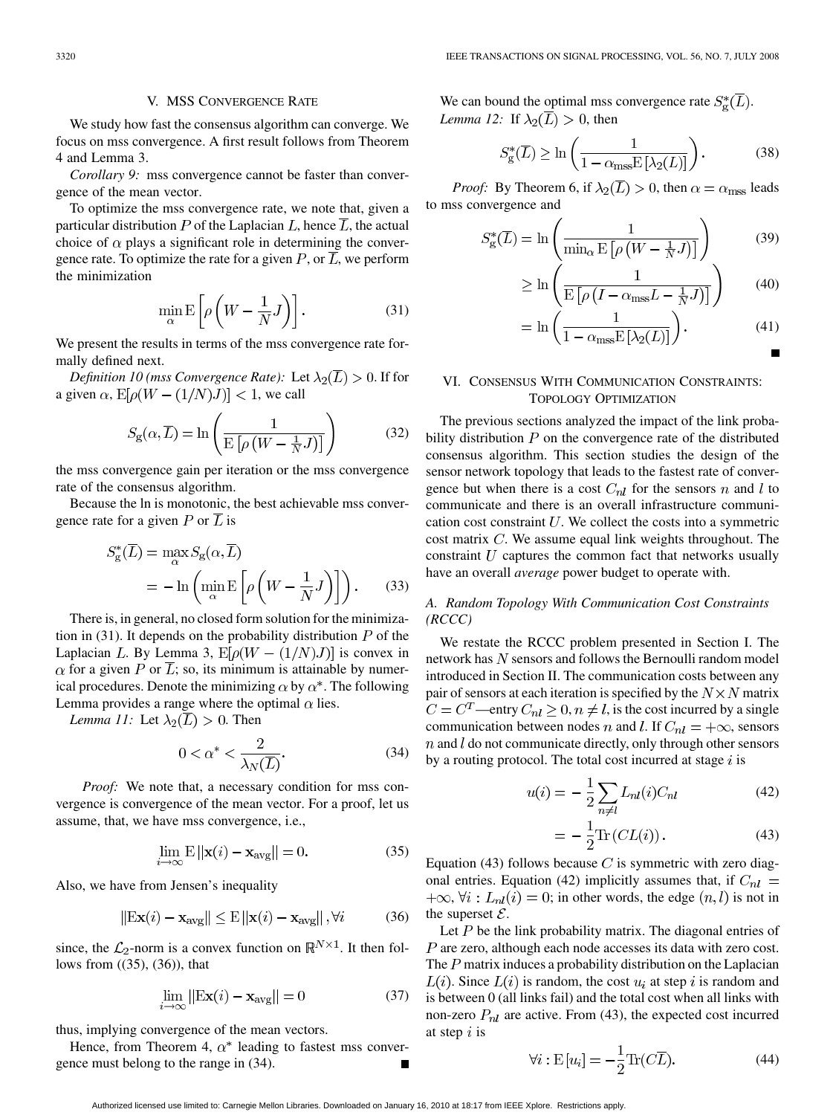## V. MSS CONVERGENCE RATE

We study how fast the consensus algorithm can converge. We focus on mss convergence. A first result follows from Theorem 4 and Lemma 3.

*Corollary 9:* mss convergence cannot be faster than convergence of the mean vector.

To optimize the mss convergence rate, we note that, given a particular distribution P of the Laplacian L, hence  $\overline{L}$ , the actual choice of  $\alpha$  plays a significant role in determining the convergence rate. To optimize the rate for a given P, or  $\overline{L}$ , we perform the minimization

$$
\min_{\alpha} \mathcal{E}\left[\rho\left(W - \frac{1}{N}J\right)\right].
$$
\n(31)

We present the results in terms of the mss convergence rate formally defined next.

*Definition 10 (mss Convergence Rate):* Let  $\lambda_2(\overline{L}) > 0$ . If for a given  $\alpha$ ,  $E[\rho(W - (1/N)J)] < 1$ , we call

$$
S_{\rm g}(\alpha, \overline{L}) = \ln \left( \frac{1}{\mathrm{E}\left[ \rho \left( W - \frac{1}{N} J \right) \right]} \right) \tag{32}
$$

the mss convergence gain per iteration or the mss convergence rate of the consensus algorithm.

Because the ln is monotonic, the best achievable mss convergence rate for a given P or  $\overline{L}$  is

$$
S_{\rm g}^*(\overline{L}) = \max_{\alpha} S_{\rm g}(\alpha, \overline{L})
$$
  
=  $-\ln\left(\min_{\alpha} \mathbb{E}\left[\rho\left(W - \frac{1}{N}J\right)\right]\right).$  (33)

There is, in general, no closed form solution for the minimization in (31). It depends on the probability distribution  $P$  of the Laplacian L. By Lemma 3,  $E[\rho(W - (1/N)J)]$  is convex in  $\alpha$  for a given P or L; so, its minimum is attainable by numerical procedures. Denote the minimizing  $\alpha$  by  $\alpha^*$ . The following Lemma provides a range where the optimal  $\alpha$  lies.

*Lemma 11:* Let  $\lambda_2(\overline{L}) > 0$ . Then

$$
0 < \alpha^* < \frac{2}{\lambda_N(\overline{L})}.\tag{34}
$$

*Proof:* We note that, a necessary condition for mss convergence is convergence of the mean vector. For a proof, let us assume, that, we have mss convergence, i.e.,

$$
\lim_{i \to \infty} \mathbf{E} \|\mathbf{x}(i) - \mathbf{x}_{\text{avg}}\| = 0. \tag{35}
$$

Also, we have from Jensen's inequality

$$
\|\mathbf{Ex}(i) - \mathbf{x}_{\text{avg}}\| \le \mathbf{E} \|\mathbf{x}(i) - \mathbf{x}_{\text{avg}}\|, \forall i \tag{36}
$$

since, the  $\mathcal{L}_2$ -norm is a convex function on  $\mathbb{R}^{N\times 1}$ . It then follows from ((35), (36)), that

$$
\lim_{i \to \infty} \|\mathbf{Ex}(i) - \mathbf{x}_{\text{avg}}\| = 0 \tag{37}
$$

thus, implying convergence of the mean vectors.

Hence, from Theorem 4,  $\alpha^*$  leading to fastest mss convergence must belong to the range in (34).

We can bound the optimal mss convergence rate  $S^*_{\sigma}(\overline{L})$ . *Lemma 12:* If  $\lambda_2(\overline{L}) > 0$ , then

$$
S_{\rm g}^*(\overline{L}) \ge \ln\left(\frac{1}{1 - \alpha_{\rm ms} E[\lambda_2(L)]}\right). \tag{38}
$$

*Proof:* By Theorem 6, if  $\lambda_2(\overline{L}) > 0$ , then  $\alpha = \alpha_{\text{mss}}$  leads to mss convergence and

$$
S_{\rm g}^*(\overline{L}) = \ln\left(\frac{1}{\min_{\alpha} \mathcal{E}\left[\rho\left(W - \frac{1}{N}J\right)\right]}\right) \tag{39}
$$

$$
\geq \ln \left( \frac{1}{\mathrm{E}\left[ \rho \left( I - \alpha_{\mathrm{ms}} L - \frac{1}{N} J \right) \right]} \right) \tag{40}
$$

$$
= \ln\left(\frac{1}{1 - \alpha_{\text{ms}} E[\lambda_2(L)]}\right). \tag{41}
$$

# VI. CONSENSUS WITH COMMUNICATION CONSTRAINTS: TOPOLOGY OPTIMIZATION

The previous sections analyzed the impact of the link probability distribution  $P$  on the convergence rate of the distributed consensus algorithm. This section studies the design of the sensor network topology that leads to the fastest rate of convergence but when there is a cost  $C_{nl}$  for the sensors n and l to communicate and there is an overall infrastructure communication cost constraint  $U$ . We collect the costs into a symmetric cost matrix  $C$ . We assume equal link weights throughout. The constraint  $U$  captures the common fact that networks usually have an overall *average* power budget to operate with.

# *A. Random Topology With Communication Cost Constraints (RCCC)*

We restate the RCCC problem presented in Section I. The network has  $N$  sensors and follows the Bernoulli random model introduced in Section II. The communication costs between any pair of sensors at each iteration is specified by the  $N \times N$  matrix  $C = C<sup>T</sup>$ —entry  $C_{nl} \geq 0, n \neq l$ , is the cost incurred by a single communication between nodes *n* and *l*. If  $C_{nl} = +\infty$ , sensors  $n$  and  $l$  do not communicate directly, only through other sensors by a routing protocol. The total cost incurred at stage  $i$  is

$$
u(i) = -\frac{1}{2} \sum_{n \neq l} L_{nl}(i) C_{nl} \tag{42}
$$

$$
=-\frac{1}{2}\text{Tr}\left(CL(i)\right). \tag{43}
$$

Equation (43) follows because  $C$  is symmetric with zero diagonal entries. Equation (42) implicitly assumes that, if  $C_{nl}$  =  $+\infty$ ,  $\forall i$ :  $L_{nl}(i) = 0$ ; in other words, the edge  $(n, l)$  is not in the superset  $\mathcal{E}$ .

Let  $P$  be the link probability matrix. The diagonal entries of  $P$  are zero, although each node accesses its data with zero cost. The  $P$  matrix induces a probability distribution on the Laplacian  $L(i)$ . Since  $L(i)$  is random, the cost  $u_i$  at step i is random and is between 0 (all links fail) and the total cost when all links with non-zero  $P_{nl}$  are active. From (43), the expected cost incurred at step  $i$  is

$$
\forall i : \mathcal{E}[u_i] = -\frac{1}{2} \text{Tr}(C\overline{L}).\tag{44}
$$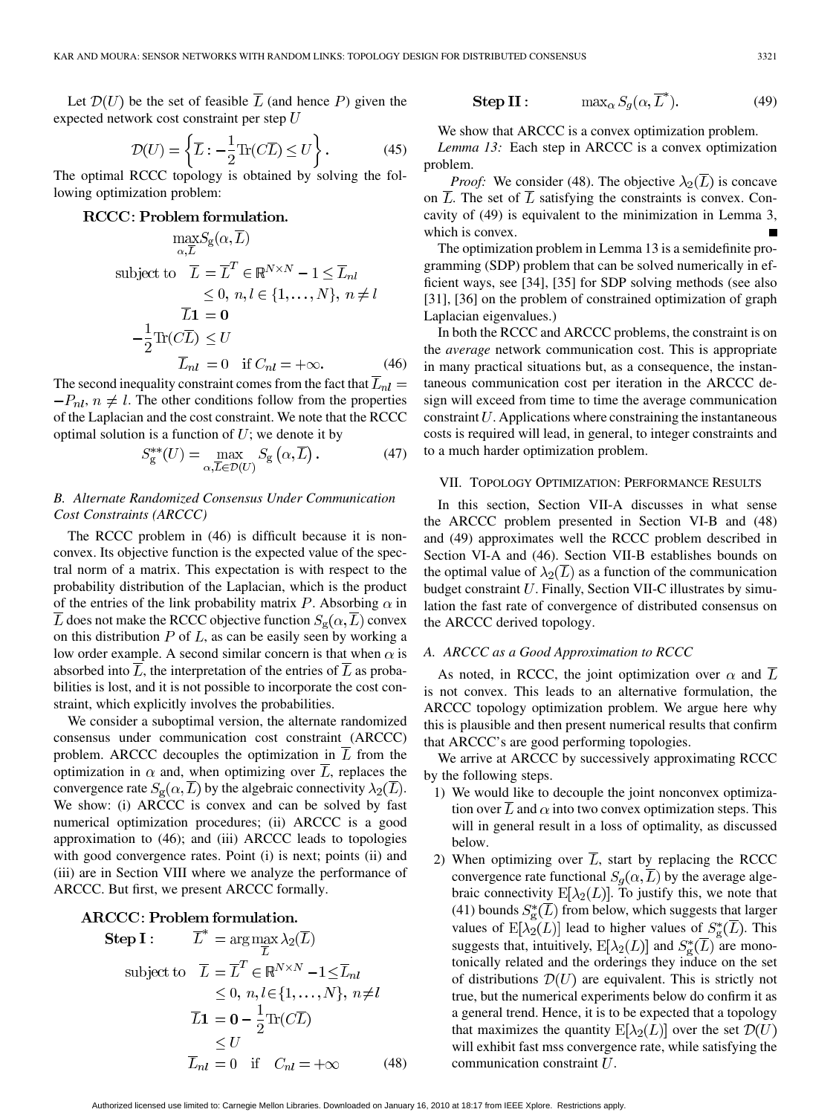Let  $\mathcal{D}(U)$  be the set of feasible  $\overline{L}$  (and hence P) given the expected network cost constraint per step  $U$ 

$$
\mathcal{D}(U) = \left\{ \overline{L} : -\frac{1}{2} \text{Tr}(C\overline{L}) \le U \right\}.
$$
 (45)

The optimal RCCC topology is obtained by solving the following optimization problem:

# RCCC: Problem formulation.

$$
\max_{\alpha,\overline{L}} S_{\text{g}}(\alpha, \overline{L})
$$
\nsubject to 
$$
\overline{L} = \overline{L}^T \in \mathbb{R}^{N \times N} - 1 \leq \overline{L}_{nl}
$$
\n
$$
\leq 0, n, l \in \{1, ..., N\}, n \neq l
$$
\n
$$
\overline{L}\mathbf{1} = \mathbf{0}
$$
\n
$$
-\frac{1}{2} \text{Tr}(C\overline{L}) \leq U
$$
\n
$$
\overline{L}_{nl} = 0 \quad \text{if } C_{nl} = +\infty.
$$
\n(46)

The second inequality constraint comes from the fact that  $L_{nl} =$  $-P_{nl}$ ,  $n \neq l$ . The other conditions follow from the properties of the Laplacian and the cost constraint. We note that the RCCC optimal solution is a function of  $U$ ; we denote it by

$$
S_{\rm g}^{**}(U) = \max_{\alpha, \overline{L} \in \mathcal{D}(U)} S_{\rm g}\left(\alpha, \overline{L}\right). \tag{47}
$$

# *B. Alternate Randomized Consensus Under Communication Cost Constraints (ARCCC)*

The RCCC problem in (46) is difficult because it is nonconvex. Its objective function is the expected value of the spectral norm of a matrix. This expectation is with respect to the probability distribution of the Laplacian, which is the product of the entries of the link probability matrix P. Absorbing  $\alpha$  in L does not make the RCCC objective function  $S_g(\alpha, L)$  convex on this distribution  $P$  of  $L$ , as can be easily seen by working a low order example. A second similar concern is that when  $\alpha$  is absorbed into  $\overline{L}$ , the interpretation of the entries of  $\overline{L}$  as probabilities is lost, and it is not possible to incorporate the cost constraint, which explicitly involves the probabilities.

We consider a suboptimal version, the alternate randomized consensus under communication cost constraint (ARCCC) problem. ARCCC decouples the optimization in  $\overline{L}$  from the optimization in  $\alpha$  and, when optimizing over  $\overline{L}$ , replaces the convergence rate  $S_{\rm g}(\alpha, \overline{L})$  by the algebraic connectivity  $\lambda_2(\overline{L})$ . We show: (i) ARCCC is convex and can be solved by fast numerical optimization procedures; (ii) ARCCC is a good approximation to (46); and (iii) ARCCC leads to topologies with good convergence rates. Point (i) is next; points (ii) and (iii) are in Section VIII where we analyze the performance of ARCCC. But first, we present ARCCC formally.



Step I : 
$$
\overline{L}^* = \arg \max_{\overline{L}} \lambda_2(\overline{L})
$$
  
\nsubject to  $\overline{L} = \overline{L}^T \in \mathbb{R}^{N \times N} - 1 \le \overline{L}_{nl}$   
\n $\le 0, n, l \in \{1, ..., N\}, n \ne l$   
\n $\overline{L} = 0 - \frac{1}{2} \text{Tr}(C\overline{L})$   
\n $\le U$   
\n $\overline{L}_{nl} = 0 \text{ if } C_{nl} = +\infty$  (48)

Step II : 
$$
\max_{\alpha} S_g(\alpha, \overline{L}^*)
$$
. (49)

We show that ARCCC is a convex optimization problem. *Lemma 13:* Each step in ARCCC is a convex optimization problem.

*Proof:* We consider (48). The objective  $\lambda_2(\overline{L})$  is concave on  $\overline{L}$ . The set of  $\overline{L}$  satisfying the constraints is convex. Concavity of (49) is equivalent to the minimization in Lemma 3, which is convex.

The optimization problem in Lemma 13 is a semidefinite programming (SDP) problem that can be solved numerically in efficient ways, see [34], [35] for SDP solving methods (see also [31], [36] on the problem of constrained optimization of graph Laplacian eigenvalues.)

In both the RCCC and ARCCC problems, the constraint is on the *average* network communication cost. This is appropriate in many practical situations but, as a consequence, the instantaneous communication cost per iteration in the ARCCC design will exceed from time to time the average communication constraint  $U$ . Applications where constraining the instantaneous costs is required will lead, in general, to integer constraints and to a much harder optimization problem.

## VII. TOPOLOGY OPTIMIZATION: PERFORMANCE RESULTS

In this section, Section VII-A discusses in what sense the ARCCC problem presented in Section VI-B and (48) and (49) approximates well the RCCC problem described in Section VI-A and (46). Section VII-B establishes bounds on the optimal value of  $\lambda_2(\overline{L})$  as a function of the communication budget constraint  $U$ . Finally, Section VII-C illustrates by simulation the fast rate of convergence of distributed consensus on the ARCCC derived topology.

## *A. ARCCC as a Good Approximation to RCCC*

As noted, in RCCC, the joint optimization over  $\alpha$  and  $\overline{L}$ is not convex. This leads to an alternative formulation, the ARCCC topology optimization problem. We argue here why this is plausible and then present numerical results that confirm that ARCCC's are good performing topologies.

We arrive at ARCCC by successively approximating RCCC by the following steps.

- 1) We would like to decouple the joint nonconvex optimization over L and  $\alpha$  into two convex optimization steps. This will in general result in a loss of optimality, as discussed below.
- 2) When optimizing over  $\overline{L}$ , start by replacing the RCCC convergence rate functional  $S_q(\alpha, \overline{L})$  by the average algebraic connectivity  $E[\lambda_2(L)]$ . To justify this, we note that (41) bounds  $S_g^*(L)$  from below, which suggests that larger values of  $E[\lambda_2(L)]$  lead to higher values of  $S_g^*(\overline{L})$ . This suggests that, intuitively,  $E[\lambda_2(L)]$  and  $S_g^*(\overline{L})$  are monotonically related and the orderings they induce on the set of distributions  $\mathcal{D}(U)$  are equivalent. This is strictly not true, but the numerical experiments below do confirm it as a general trend. Hence, it is to be expected that a topology that maximizes the quantity  $E[\lambda_2(L)]$  over the set  $\mathcal{D}(U)$ will exhibit fast mss convergence rate, while satisfying the communication constraint  $U$ .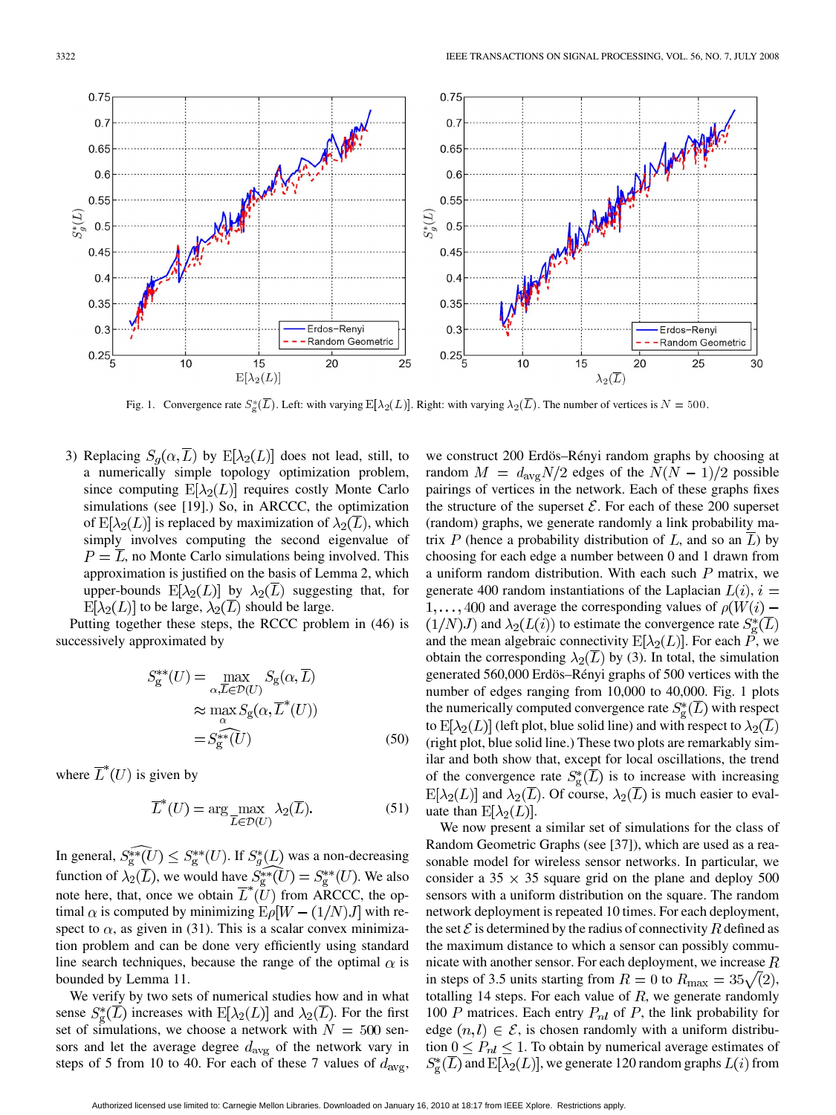

Fig. 1. Convergence rate  $S_g^*(\overline{L})$ . Left: with varying  $E[\lambda_2(L)]$ . Right: with varying  $\lambda_2(\overline{L})$ . The number of vertices is  $N = 500$ .

3) Replacing  $S_g(\alpha, \overline{L})$  by  $E[\lambda_2(L)]$  does not lead, still, to a numerically simple topology optimization problem, since computing  $E[\lambda_2(L)]$  requires costly Monte Carlo simulations (see [19].) So, in ARCCC, the optimization of  $E[\lambda_2(L)]$  is replaced by maximization of  $\lambda_2(L)$ , which simply involves computing the second eigenvalue of  $P = \overline{L}$ , no Monte Carlo simulations being involved. This approximation is justified on the basis of Lemma 2, which upper-bounds  $E[\lambda_2(L)]$  by  $\lambda_2(L)$  suggesting that, for  $E[\lambda_2(L)]$  to be large,  $\lambda_2(\overline{L})$  should be large.

Putting together these steps, the RCCC problem in (46) is successively approximated by

$$
S_{\rm g}^{**}(U) = \max_{\alpha, \overline{L} \in \mathcal{D}(U)} S_{\rm g}(\alpha, \overline{L})
$$

$$
\approx \max_{\alpha, \overline{L} \in \mathcal{D}} S_{\rm g}(\alpha, \overline{L}^*(U))
$$

$$
= S_{\rm g}^{**}(\overline{U}) \tag{50}
$$

where  $\overline{L}^*(U)$  is given by

$$
\overline{L}^*(U) = \arg\max_{\overline{L}\in\mathcal{D}(U)} \lambda_2(\overline{L}).\tag{51}
$$

In general,  $S_g^{**}(U) \leq S_g^{**}(U)$ . If  $S_g^{*}(L)$  was a non-decreasing function of  $\lambda_2(L)$ , we would have  $S^{\ast\ast}_{g}(U)=S^{\ast\ast}_{g}(U)$ . We also note here, that, once we obtain  $\overline{L}^*(U)$  from ARCCC, the optimal  $\alpha$  is computed by minimizing  $E[\rho]W - (1/N)J$  with respect to  $\alpha$ , as given in (31). This is a scalar convex minimization problem and can be done very efficiently using standard line search techniques, because the range of the optimal  $\alpha$  is bounded by Lemma 11.

We verify by two sets of numerical studies how and in what sense  $S_g^*(\overline{L})$  increases with  $E[\lambda_2(L)]$  and  $\lambda_2(\overline{L})$ . For the first set of simulations, we choose a network with  $N = 500$  sensors and let the average degree  $d_{\text{avg}}$  of the network vary in steps of 5 from 10 to 40. For each of these 7 values of  $d_{\text{avg}}$ ,

we construct 200 Erdös–Rényi random graphs by choosing at random  $M = d_{\text{avg}}N/2$  edges of the  $N(N-1)/2$  possible pairings of vertices in the network. Each of these graphs fixes the structure of the superset  $\mathcal{E}$ . For each of these 200 superset (random) graphs, we generate randomly a link probability matrix P (hence a probability distribution of L, and so an  $\overline{L}$ ) by choosing for each edge a number between 0 and 1 drawn from a uniform random distribution. With each such  $P$  matrix, we generate 400 random instantiations of the Laplacian  $L(i)$ ,  $i =$  $1, \ldots, 400$  and average the corresponding values of  $\rho(W(i) (1/N)J$  and  $\lambda_2(L(i))$  to estimate the convergence rate  $S_g^*(L)$ and the mean algebraic connectivity  $E[\lambda_2(L)]$ . For each  $\overline{P}$ , we obtain the corresponding  $\lambda_2(\overline{L})$  by (3). In total, the simulation generated 560,000 Erdös–Rényi graphs of 500 vertices with the number of edges ranging from 10,000 to 40,000. Fig. 1 plots the numerically computed convergence rate  $S_g^*(\overline{L})$  with respect to  $E[\lambda_2(L)]$  (left plot, blue solid line) and with respect to  $\lambda_2(\overline{L})$ (right plot, blue solid line.) These two plots are remarkably similar and both show that, except for local oscillations, the trend of the convergence rate  $S_g^*(L)$  is to increase with increasing  $E[\lambda_2(L)]$  and  $\lambda_2(\overline{L})$ . Of course,  $\lambda_2(\overline{L})$  is much easier to evaluate than  $E[\lambda_2(L)]$ .

We now present a similar set of simulations for the class of Random Geometric Graphs (see [37]), which are used as a reasonable model for wireless sensor networks. In particular, we consider a  $35 \times 35$  square grid on the plane and deploy 500 sensors with a uniform distribution on the square. The random network deployment is repeated 10 times. For each deployment, the set  $\mathcal E$  is determined by the radius of connectivity R defined as the maximum distance to which a sensor can possibly communicate with another sensor. For each deployment, we increase  $R$ in steps of 3.5 units starting from  $R = 0$  to  $R_{\text{max}} = 35\sqrt{2}$ , totalling 14 steps. For each value of  $R$ , we generate randomly 100 P matrices. Each entry  $P_{nl}$  of P, the link probability for edge  $(n, l) \in \mathcal{E}$ , is chosen randomly with a uniform distribution  $0 \leq P_{nl} \leq 1$ . To obtain by numerical average estimates of  $S^*_{\mathfrak{g}}(\overline{L})$  and  $\mathrm{E}[\lambda_2(L)]$ , we generate 120 random graphs  $L(i)$  from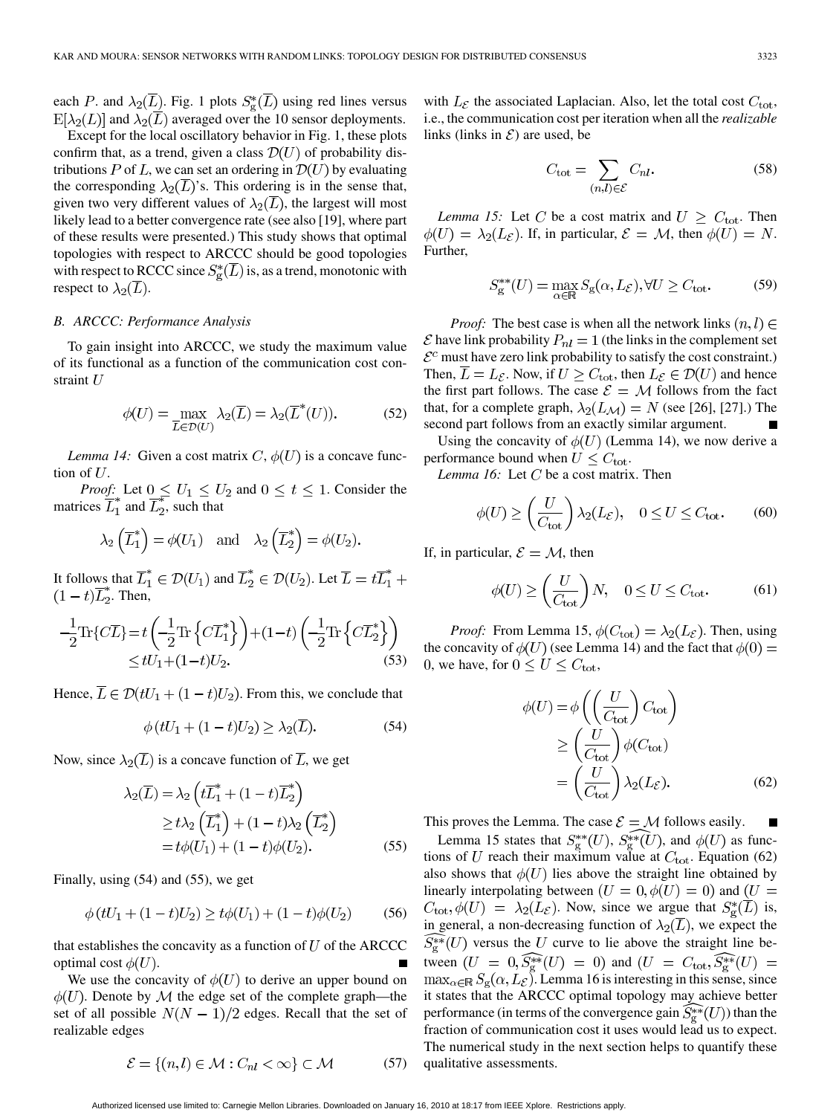each P. and  $\lambda_2(\overline{L})$ . Fig. 1 plots  $S_g^*(\overline{L})$  using red lines versus  $E[\lambda_2(L)]$  and  $\lambda_2(\overline{L})$  averaged over the 10 sensor deployments.

Except for the local oscillatory behavior in Fig. 1, these plots confirm that, as a trend, given a class  $\mathcal{D}(U)$  of probability distributions P of L, we can set an ordering in  $\mathcal{D}(U)$  by evaluating the corresponding  $\lambda_2(\overline{L})$ 's. This ordering is in the sense that, given two very different values of  $\lambda_2(\overline{L})$ , the largest will most likely lead to a better convergence rate (see also [19], where part of these results were presented.) This study shows that optimal topologies with respect to ARCCC should be good topologies with respect to RCCC since  $S^*_{\mathcal{C}}(\overline{L})$  is, as a trend, monotonic with respect to  $\lambda_2(\overline{L})$ .

## *B. ARCCC: Performance Analysis*

To gain insight into ARCCC, we study the maximum value of its functional as a function of the communication cost constraint  $U$ 

$$
\phi(U) = \max_{\overline{L} \in \mathcal{D}(U)} \lambda_2(\overline{L}) = \lambda_2(\overline{L}^*(U)).
$$
 (52)

*Lemma 14:* Given a cost matrix  $C$ ,  $\phi(U)$  is a concave function of  $U$ .

*Proof:* Let  $0 \leq U_1 \leq U_2$  and  $0 \leq t \leq 1$ . Consider the matrices  $L_1^*$  and  $L_2^*$ , such that

$$
\lambda_2\left(\overline{L}_1^*\right) = \phi(U_1) \text{ and } \lambda_2\left(\overline{L}_2^*\right) = \phi(U_2).
$$

It follows that  $L_1 \in \mathcal{D}(U_1)$  and  $L_2 \in \mathcal{D}(U_2)$ . Let . Then,

$$
-\frac{1}{2}\text{Tr}\{C\overline{L}\} = t\left(-\frac{1}{2}\text{Tr}\left\{C\overline{L}_{1}^{*}\right\}\right) + (1-t)\left(-\frac{1}{2}\text{Tr}\left\{C\overline{L}_{2}^{*}\right\}\right) \leq tU_{1} + (1-t)U_{2}.
$$
\n(53)

Hence,  $\overline{L} \in \mathcal{D}(tU_1 + (1-t)U_2)$ . From this, we conclude that

$$
\phi(tU_1 + (1 - t)U_2) \ge \lambda_2(\overline{L}).\tag{54}
$$

Now, since  $\lambda_2(\overline{L})$  is a concave function of  $\overline{L}$ , we get

$$
\lambda_2(\overline{L}) = \lambda_2 \left( t \overline{L}_1^* + (1 - t) \overline{L}_2^* \right)
$$
  
\n
$$
\geq t \lambda_2 \left( \overline{L}_1^* \right) + (1 - t) \lambda_2 \left( \overline{L}_2^* \right)
$$
  
\n
$$
= t \phi(U_1) + (1 - t) \phi(U_2).
$$
 (55)

Finally, using (54) and (55), we get

$$
\phi(tU_1 + (1-t)U_2) \ge t\phi(U_1) + (1-t)\phi(U_2)
$$
 (56)

that establishes the concavity as a function of  $U$  of the ARCCC optimal cost  $\phi(U)$ .

We use the concavity of  $\phi(U)$  to derive an upper bound on  $\phi(U)$ . Denote by M the edge set of the complete graph—the set of all possible  $N(N - 1)/2$  edges. Recall that the set of realizable edges

$$
\mathcal{E} = \{(n, l) \in \mathcal{M} : C_{nl} < \infty\} \subset \mathcal{M} \tag{57}
$$

with  $L_{\mathcal{E}}$  the associated Laplacian. Also, let the total cost  $C_{\text{tot}}$ , i.e., the communication cost per iteration when all the *realizable* links (links in  $\mathcal{E}$ ) are used, be

$$
C_{\text{tot}} = \sum_{(n,l)\in\mathcal{E}} C_{nl}.\tag{58}
$$

*Lemma 15:* Let C be a cost matrix and  $U \geq C_{\text{tot}}$ . Then  $\phi(U) = \lambda_2(L_{\mathcal{E}})$ . If, in particular,  $\mathcal{E} = \mathcal{M}$ , then  $\phi(U) = N$ . Further,

$$
S_{\rm g}^{**}(U) = \max_{\alpha \in \mathbb{R}} S_{\rm g}(\alpha, L_{\mathcal{E}}), \forall U \ge C_{\rm tot}.
$$
 (59)

*Proof:* The best case is when all the network links  $(n, l) \in$  $\mathcal E$  have link probability  $P_{nl} = 1$  (the links in the complement set  $\mathcal{E}^c$  must have zero link probability to satisfy the cost constraint.) Then,  $L = L_{\mathcal{E}}$ . Now, if  $U \geq C_{\text{tot}}$ , then  $L_{\mathcal{E}} \in \mathcal{D}(U)$  and hence the first part follows. The case  $\mathcal{E} = \mathcal{M}$  follows from the fact that, for a complete graph,  $\lambda_2(L_{\mathcal{M}}) = N$  (see [26], [27].) The second part follows from an exactly similar argument.

Using the concavity of  $\phi(U)$  (Lemma 14), we now derive a performance bound when  $U \leq C_{\text{tot}}$ .

*Lemma 16:* Let  $C$  be a cost matrix. Then

$$
\phi(U) \ge \left(\frac{U}{C_{\text{tot}}}\right) \lambda_2(L_{\mathcal{E}}), \quad 0 \le U \le C_{\text{tot}}.\tag{60}
$$

If, in particular,  $\mathcal{E} = \mathcal{M}$ , then

$$
\phi(U) \ge \left(\frac{U}{C_{\text{tot}}}\right)N, \quad 0 \le U \le C_{\text{tot}}.\tag{61}
$$

*Proof:* From Lemma 15,  $\phi(C_{\text{tot}}) = \lambda_2(L_{\mathcal{E}})$ . Then, using the concavity of  $\phi(U)$  (see Lemma 14) and the fact that  $\phi(0)$  = 0, we have, for  $0 \leq U \leq C_{\text{tot}}$ ,

$$
\phi(U) = \phi\left(\left(\frac{U}{C_{\text{tot}}}\right) C_{\text{tot}}\right)
$$

$$
\geq \left(\frac{U}{C_{\text{tot}}}\right) \phi(C_{\text{tot}})
$$

$$
= \left(\frac{U}{C_{\text{tot}}}\right) \lambda_2(L_{\mathcal{E}}).
$$
(62)

This proves the Lemma. The case  $\mathcal{E} = \mathcal{M}$  follows easily.  $\blacksquare$ Lemma 15 states that  $S_g^{**}(U)$ ,  $S_g^{**}(\overline{U})$ , and  $\phi(U)$  as functions of U reach their maximum value at  $C_{\text{tot}}$ . Equation (62) also shows that  $\phi(U)$  lies above the straight line obtained by linearly interpolating between  $(U = 0, \phi(U) = 0)$  and  $(U =$  $C_{\text{tot}}, \phi(U) = \lambda_2(L_{\mathcal{E}})$ . Now, since we argue that  $S_{\mathcal{E}}^*(L)$  is, in general, a non-decreasing function of  $\lambda_2(\overline{L})$ , we expect the  $S_g^{**}(U)$  versus the U curve to lie above the straight line between  $(U = 0, \widehat{S_{g}^{**}}(U) = 0)$  and  $(U = C_{\text{tot}}, \widehat{S_{g}^{**}}(U) =$  $\max_{\alpha \in \mathbb{R}} S_{g}(\alpha, L_{\varepsilon})$ . Lemma 16 is interesting in this sense, since it states that the ARCCC optimal topology may achieve better performance (in terms of the convergence gain  $\overline{S_{g}^{**}}(U)$ ) than the fraction of communication cost it uses would lead us to expect. The numerical study in the next section helps to quantify these qualitative assessments.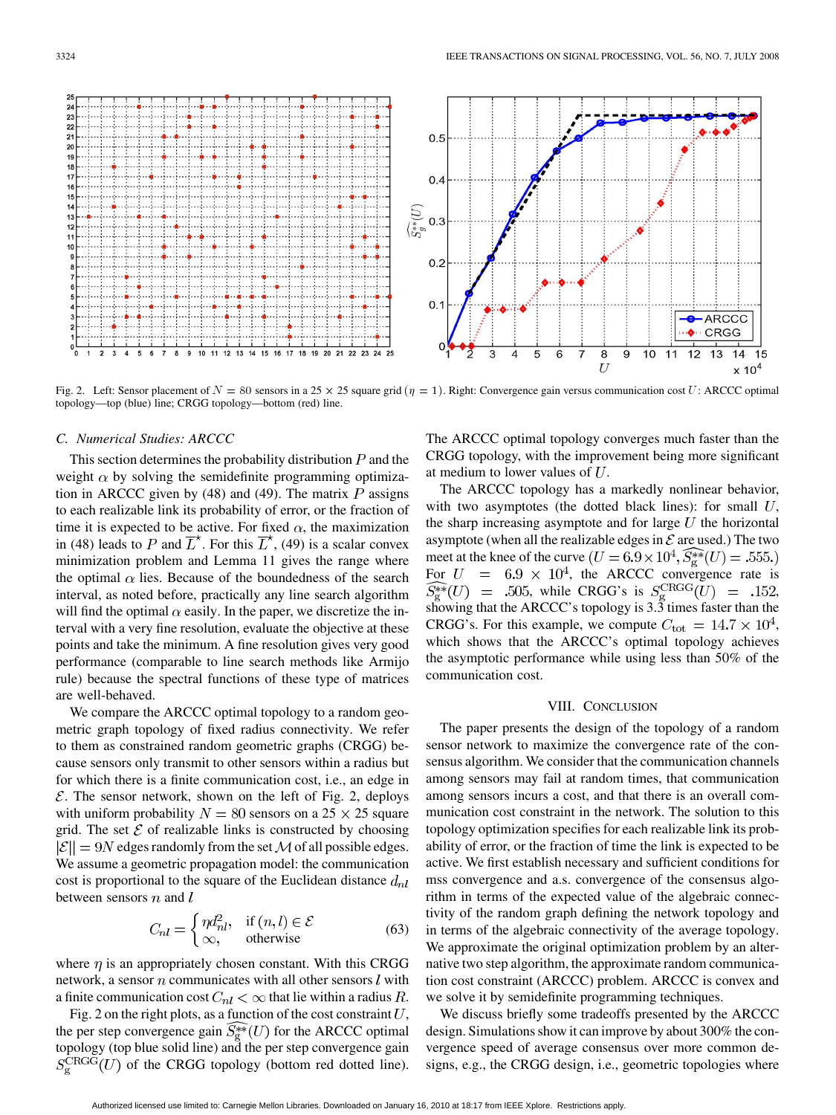Fig. 2. Left: Sensor placement of  $N = 80$  sensors in a 25  $\times$  25 square grid ( $\eta = 1$ ). Right: Convergence gain versus communication cost U: ARCCC optimal topology—top (blue) line; CRGG topology—bottom (red) line.

# *C. Numerical Studies: ARCCC*

This section determines the probability distribution  $P$  and the weight  $\alpha$  by solving the semidefinite programming optimization in ARCCC given by (48) and (49). The matrix  $P$  assigns to each realizable link its probability of error, or the fraction of time it is expected to be active. For fixed  $\alpha$ , the maximization in (48) leads to P and  $\overline{L}^*$ . For this  $\overline{L}^*$ , (49) is a scalar convex minimization problem and Lemma 11 gives the range where the optimal  $\alpha$  lies. Because of the boundedness of the search interval, as noted before, practically any line search algorithm will find the optimal  $\alpha$  easily. In the paper, we discretize the interval with a very fine resolution, evaluate the objective at these points and take the minimum. A fine resolution gives very good performance (comparable to line search methods like Armijo rule) because the spectral functions of these type of matrices are well-behaved.

We compare the ARCCC optimal topology to a random geometric graph topology of fixed radius connectivity. We refer to them as constrained random geometric graphs (CRGG) because sensors only transmit to other sensors within a radius but for which there is a finite communication cost, i.e., an edge in  $\mathcal{E}$ . The sensor network, shown on the left of Fig. 2, deploys with uniform probability  $N = 80$  sensors on a 25  $\times$  25 square grid. The set  $\mathcal E$  of realizable links is constructed by choosing  $\mathcal{E} \leq 9N$  edges randomly from the set M of all possible edges. We assume a geometric propagation model: the communication cost is proportional to the square of the Euclidean distance  $d_{nl}$ between sensors  $n$  and  $l$ 

$$
C_{nl} = \begin{cases} \eta d_{nl}^2, & \text{if } (n,l) \in \mathcal{E} \\ \infty, & \text{otherwise} \end{cases}
$$
 (63)

where  $\eta$  is an appropriately chosen constant. With this CRGG network, a sensor  $n$  communicates with all other sensors  $l$  with a finite communication cost  $C_{nl} < \infty$  that lie within a radius R.

Fig. 2 on the right plots, as a function of the cost constraint  $U$ , the per step convergence gain  $\widehat{S_g^{**}}(U)$  for the ARCCC optimal topology (top blue solid line) and the per step convergence gain  $S_{\rm g}^{\rm CRGG}(U)$  of the CRGG topology (bottom red dotted line).

The ARCCC optimal topology converges much faster than the CRGG topology, with the improvement being more significant at medium to lower values of  $U$ .

The ARCCC topology has a markedly nonlinear behavior, with two asymptotes (the dotted black lines): for small  $U$ , the sharp increasing asymptote and for large  $U$  the horizontal asymptote (when all the realizable edges in  $\mathcal E$  are used.) The two meet at the knee of the curve  $(U = 6.9 \times 10^4, \tilde{S}_{g}^{**}(U) = .555.)$ For  $U = 6.9 \times 10^4$ , the ARCCC convergence rate is  $S_g^{**}(U)$  = .505, while CRGG's is  $S_g^{\text{CRGG}}(U)$  = .152, showing that the ARCCC's topology is 3.3 times faster than the CRGG's. For this example, we compute  $C_{\text{tot}} = 14.7 \times 10^4$ , which shows that the ARCCC's optimal topology achieves the asymptotic performance while using less than 50% of the communication cost.

## VIII. CONCLUSION

The paper presents the design of the topology of a random sensor network to maximize the convergence rate of the consensus algorithm. We consider that the communication channels among sensors may fail at random times, that communication among sensors incurs a cost, and that there is an overall communication cost constraint in the network. The solution to this topology optimization specifies for each realizable link its probability of error, or the fraction of time the link is expected to be active. We first establish necessary and sufficient conditions for mss convergence and a.s. convergence of the consensus algorithm in terms of the expected value of the algebraic connectivity of the random graph defining the network topology and in terms of the algebraic connectivity of the average topology. We approximate the original optimization problem by an alternative two step algorithm, the approximate random communication cost constraint (ARCCC) problem. ARCCC is convex and we solve it by semidefinite programming techniques.

We discuss briefly some tradeoffs presented by the ARCCC design. Simulations show it can improve by about 300% the convergence speed of average consensus over more common designs, e.g., the CRGG design, i.e., geometric topologies where

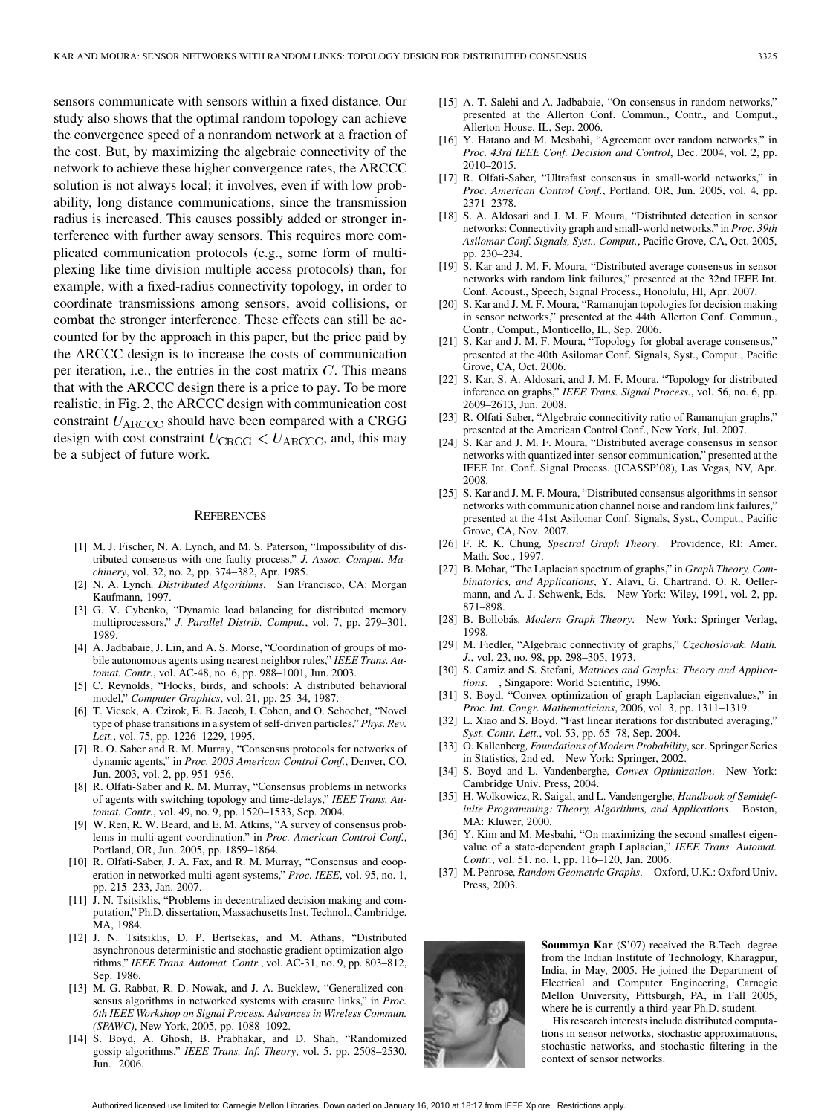sensors communicate with sensors within a fixed distance. Our study also shows that the optimal random topology can achieve the convergence speed of a nonrandom network at a fraction of the cost. But, by maximizing the algebraic connectivity of the network to achieve these higher convergence rates, the ARCCC solution is not always local; it involves, even if with low probability, long distance communications, since the transmission radius is increased. This causes possibly added or stronger interference with further away sensors. This requires more complicated communication protocols (e.g., some form of multiplexing like time division multiple access protocols) than, for example, with a fixed-radius connectivity topology, in order to coordinate transmissions among sensors, avoid collisions, or combat the stronger interference. These effects can still be accounted for by the approach in this paper, but the price paid by the ARCCC design is to increase the costs of communication per iteration, i.e., the entries in the cost matrix  $C$ . This means that with the ARCCC design there is a price to pay. To be more realistic, in Fig. 2, the ARCCC design with communication cost constraint  $U_{\text{ARCCC}}$  should have been compared with a CRGG design with cost constraint  $U_{\text{CRGG}} < U_{\text{ARCCC}}$ , and, this may be a subject of future work.

## **REFERENCES**

- [1] M. J. Fischer, N. A. Lynch, and M. S. Paterson, "Impossibility of distributed consensus with one faulty process," *J. Assoc. Comput. Machinery*, vol. 32, no. 2, pp. 374–382, Apr. 1985.
- [2] N. A. Lynch*, Distributed Algorithms*. San Francisco, CA: Morgan Kaufmann, 1997.
- [3] G. V. Cybenko, "Dynamic load balancing for distributed memory multiprocessors," *J. Parallel Distrib. Comput.*, vol. 7, pp. 279–301, 1989.
- [4] A. Jadbabaie, J. Lin, and A. S. Morse, "Coordination of groups of mobile autonomous agents using nearest neighbor rules," *IEEE Trans. Automat. Contr.*, vol. AC-48, no. 6, pp. 988–1001, Jun. 2003.
- [5] C. Reynolds, "Flocks, birds, and schools: A distributed behavioral model," *Computer Graphics*, vol. 21, pp. 25–34, 1987.
- [6] T. Vicsek, A. Czirok, E. B. Jacob, I. Cohen, and O. Schochet, "Novel type of phase transitions in a system of self-driven particles," *Phys. Rev. Lett.*, vol. 75, pp. 1226–1229, 1995.
- [7] R. O. Saber and R. M. Murray, "Consensus protocols for networks of dynamic agents," in *Proc. 2003 American Control Conf.*, Denver, CO, Jun. 2003, vol. 2, pp. 951–956.
- [8] R. Olfati-Saber and R. M. Murray, "Consensus problems in networks of agents with switching topology and time-delays," *IEEE Trans. Automat. Contr.*, vol. 49, no. 9, pp. 1520–1533, Sep. 2004.
- [9] W. Ren, R. W. Beard, and E. M. Atkins, "A survey of consensus problems in multi-agent coordination," in *Proc. American Control Conf.*, Portland, OR, Jun. 2005, pp. 1859–1864.
- [10] R. Olfati-Saber, J. A. Fax, and R. M. Murray, "Consensus and cooperation in networked multi-agent systems," *Proc. IEEE*, vol. 95, no. 1, pp. 215–233, Jan. 2007.
- [11] J. N. Tsitsiklis, "Problems in decentralized decision making and computation," Ph.D. dissertation, Massachusetts Inst. Technol., Cambridge, MA, 1984.
- [12] J. N. Tsitsiklis, D. P. Bertsekas, and M. Athans, "Distributed asynchronous deterministic and stochastic gradient optimization algorithms," *IEEE Trans. Automat. Contr.*, vol. AC-31, no. 9, pp. 803–812, Sep. 1986.
- [13] M. G. Rabbat, R. D. Nowak, and J. A. Bucklew, "Generalized consensus algorithms in networked systems with erasure links," in *Proc. 6th IEEE Workshop on Signal Process. Advances in Wireless Commun. (SPAWC)*, New York, 2005, pp. 1088–1092.
- [14] S. Boyd, A. Ghosh, B. Prabhakar, and D. Shah, "Randomized gossip algorithms," *IEEE Trans. Inf. Theory*, vol. 5, pp. 2508–2530, Jun. 2006.
- [15] A. T. Salehi and A. Jadbabaie, "On consensus in random networks," presented at the Allerton Conf. Commun., Contr., and Comput., Allerton House, IL, Sep. 2006.
- [16] Y. Hatano and M. Mesbahi, "Agreement over random networks," in *Proc. 43rd IEEE Conf. Decision and Control*, Dec. 2004, vol. 2, pp. 2010–2015.
- [17] R. Olfati-Saber, "Ultrafast consensus in small-world networks," in *Proc. American Control Conf.*, Portland, OR, Jun. 2005, vol. 4, pp. 2371–2378.
- [18] S. A. Aldosari and J. M. F. Moura, "Distributed detection in sensor networks: Connectivity graph and small-world networks," in *Proc. 39th Asilomar Conf. Signals, Syst., Comput.*, Pacific Grove, CA, Oct. 2005, pp. 230–234.
- [19] S. Kar and J. M. F. Moura, "Distributed average consensus in sensor networks with random link failures," presented at the 32nd IEEE Int. Conf. Acoust., Speech, Signal Process., Honolulu, HI, Apr. 2007.
- [20] S. Kar and J. M. F. Moura, "Ramanujan topologies for decision making in sensor networks," presented at the 44th Allerton Conf. Commun., Contr., Comput., Monticello, IL, Sep. 2006.
- [21] S. Kar and J. M. F. Moura, "Topology for global average consensus," presented at the 40th Asilomar Conf. Signals, Syst., Comput., Pacific Grove, CA, Oct. 2006.
- [22] S. Kar, S. A. Aldosari, and J. M. F. Moura, "Topology for distributed inference on graphs," *IEEE Trans. Signal Process.*, vol. 56, no. 6, pp. 2609–2613, Jun. 2008.
- [23] R. Olfati-Saber, "Algebraic connecitivity ratio of Ramanujan graphs," presented at the American Control Conf., New York, Jul. 2007.
- [24] S. Kar and J. M. F. Moura, "Distributed average consensus in sensor networks with quantized inter-sensor communication," presented at the IEEE Int. Conf. Signal Process. (ICASSP'08), Las Vegas, NV, Apr. 2008.
- [25] S. Kar and J. M. F. Moura, "Distributed consensus algorithms in sensor networks with communication channel noise and random link failures," presented at the 41st Asilomar Conf. Signals, Syst., Comput., Pacific Grove, CA, Nov. 2007.
- [26] F. R. K. Chung*, Spectral Graph Theory*. Providence, RI: Amer. Math. Soc., 1997.
- [27] B. Mohar, "The Laplacian spectrum of graphs," in *Graph Theory, Combinatorics, and Applications*, Y. Alavi, G. Chartrand, O. R. Oellermann, and A. J. Schwenk, Eds. New York: Wiley, 1991, vol. 2, pp. 871–898.
- [28] B. Bollobás*, Modern Graph Theory*. New York: Springer Verlag, 1998.
- [29] M. Fiedler, "Algebraic connectivity of graphs," *Czechoslovak. Math. J.*, vol. 23, no. 98, pp. 298–305, 1973.
- [30] S. Camiz and S. Stefani*, Matrices and Graphs: Theory and Applications*. , Singapore: World Scientific, 1996.
- [31] S. Boyd, "Convex optimization of graph Laplacian eigenvalues," in *Proc. Int. Congr. Mathematicians*, 2006, vol. 3, pp. 1311–1319.
- [32] L. Xiao and S. Boyd, "Fast linear iterations for distributed averaging," *Syst. Contr. Lett.*, vol. 53, pp. 65–78, Sep. 2004.
- [33] O. Kallenberg*, Foundations of Modern Probability*, ser. Springer Series in Statistics, 2nd ed. New York: Springer, 2002.
- [34] S. Boyd and L. Vandenberghe*, Convex Optimization*. New York: Cambridge Univ. Press, 2004.
- [35] H. Wolkowicz, R. Saigal, and L. Vandengerghe*, Handbook of Semidefinite Programming: Theory, Algorithms, and Applications*. Boston, MA: Kluwer, 2000.
- [36] Y. Kim and M. Mesbahi, "On maximizing the second smallest eigenvalue of a state-dependent graph Laplacian," *IEEE Trans. Automat. Contr.*, vol. 51, no. 1, pp. 116–120, Jan. 2006.
- [37] M. Penrose*, Random Geometric Graphs*. Oxford, U.K.: Oxford Univ. Press, 2003.



**Soummya Kar** (S'07) received the B.Tech. degree from the Indian Institute of Technology, Kharagpur, India, in May, 2005. He joined the Department of Electrical and Computer Engineering, Carnegie Mellon University, Pittsburgh, PA, in Fall 2005, where he is currently a third-year Ph.D. student.

His research interests include distributed computations in sensor networks, stochastic approximations, stochastic networks, and stochastic filtering in the context of sensor networks.